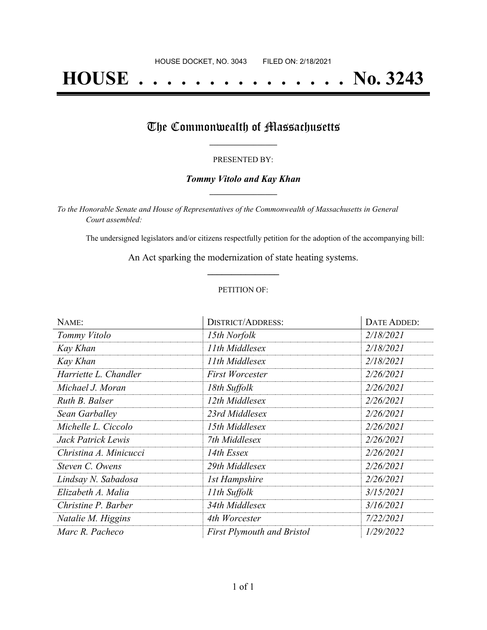# **HOUSE . . . . . . . . . . . . . . . No. 3243**

## The Commonwealth of Massachusetts

#### PRESENTED BY:

#### *Tommy Vitolo and Kay Khan* **\_\_\_\_\_\_\_\_\_\_\_\_\_\_\_\_\_**

*To the Honorable Senate and House of Representatives of the Commonwealth of Massachusetts in General Court assembled:*

The undersigned legislators and/or citizens respectfully petition for the adoption of the accompanying bill:

An Act sparking the modernization of state heating systems. **\_\_\_\_\_\_\_\_\_\_\_\_\_\_\_**

#### PETITION OF:

| NAME:                  | <b>DISTRICT/ADDRESS:</b>          | DATE ADDED: |
|------------------------|-----------------------------------|-------------|
| Tommy Vitolo           | 15th Norfolk                      | 2/18/2021   |
| Kay Khan               | 11th Middlesex                    | 2/18/2021   |
| Kay Khan               | 11th Middlesex                    | 2/18/2021   |
| Harriette L. Chandler  | <b>First Worcester</b>            | 2/26/2021   |
| Michael J. Moran       | 18th Suffolk                      | 2/26/2021   |
| Ruth B. Balser         | 12th Middlesex                    | 2/26/2021   |
| Sean Garballey         | 23rd Middlesex                    | 2/26/2021   |
| Michelle L. Ciccolo    | 15th Middlesex                    | 2/26/2021   |
| Jack Patrick Lewis     | 7th Middlesex                     | 2/26/2021   |
| Christina A. Minicucci | 14th Essex                        | 2/26/2021   |
| Steven C. Owens        | 29th Middlesex                    | 2/26/2021   |
| Lindsay N. Sabadosa    | <b>1st Hampshire</b>              | 2/26/2021   |
| Elizabeth A. Malia     | 11th Suffolk                      | 3/15/2021   |
| Christine P. Barber    | 34th Middlesex                    | 3/16/2021   |
| Natalie M. Higgins     | 4th Worcester                     | 7/22/2021   |
| Marc R. Pacheco        | <b>First Plymouth and Bristol</b> | 1/29/2022   |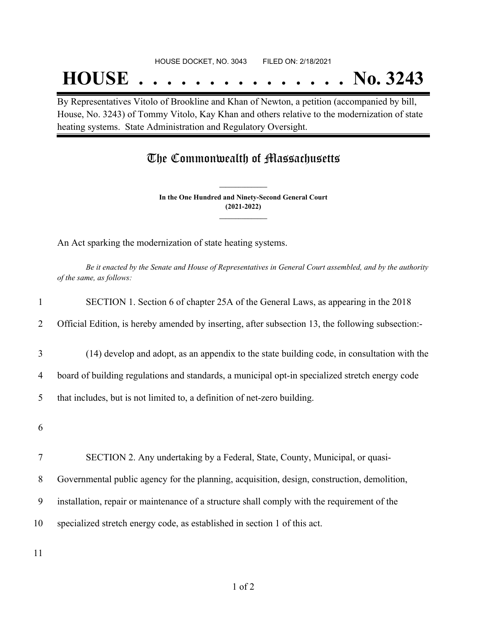## **HOUSE . . . . . . . . . . . . . . . No. 3243**

By Representatives Vitolo of Brookline and Khan of Newton, a petition (accompanied by bill, House, No. 3243) of Tommy Vitolo, Kay Khan and others relative to the modernization of state heating systems. State Administration and Regulatory Oversight.

### The Commonwealth of Massachusetts

**In the One Hundred and Ninety-Second General Court (2021-2022) \_\_\_\_\_\_\_\_\_\_\_\_\_\_\_**

**\_\_\_\_\_\_\_\_\_\_\_\_\_\_\_**

An Act sparking the modernization of state heating systems.

Be it enacted by the Senate and House of Representatives in General Court assembled, and by the authority *of the same, as follows:*

| 1  | SECTION 1. Section 6 of chapter 25A of the General Laws, as appearing in the 2018                 |
|----|---------------------------------------------------------------------------------------------------|
| 2  | Official Edition, is hereby amended by inserting, after subsection 13, the following subsection:- |
| 3  | (14) develop and adopt, as an appendix to the state building code, in consultation with the       |
| 4  | board of building regulations and standards, a municipal opt-in specialized stretch energy code   |
| 5  | that includes, but is not limited to, a definition of net-zero building.                          |
| 6  |                                                                                                   |
| 7  | SECTION 2. Any undertaking by a Federal, State, County, Municipal, or quasi-                      |
| 8  | Governmental public agency for the planning, acquisition, design, construction, demolition,       |
| 9  | installation, repair or maintenance of a structure shall comply with the requirement of the       |
| 10 | specialized stretch energy code, as established in section 1 of this act.                         |
|    |                                                                                                   |

11